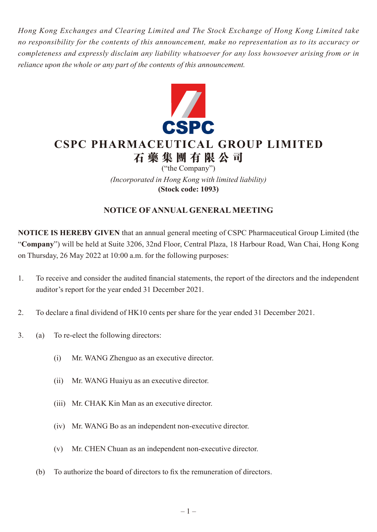*Hong Kong Exchanges and Clearing Limited and The Stock Exchange of Hong Kong Limited take no responsibility for the contents of this announcement, make no representation as to its accuracy or completeness and expressly disclaim any liability whatsoever for any loss howsoever arising from or in reliance upon the whole or any part of the contents of this announcement.*



# **CSPC PHARMACEUTICAL GROUP LIMITED 石藥集團 有 限公司**

("the Company") *(Incorporated in Hong Kong with limited liability)* **(Stock code: 1093)**

# **NOTICE OF ANNUAL GENERAL MEETING**

**NOTICE IS HEREBY GIVEN** that an annual general meeting of CSPC Pharmaceutical Group Limited (the "**Company**") will be held at Suite 3206, 32nd Floor, Central Plaza, 18 Harbour Road, Wan Chai, Hong Kong on Thursday, 26 May 2022 at 10:00 a.m. for the following purposes:

- 1. To receive and consider the audited financial statements, the report of the directors and the independent auditor's report for the year ended 31 December 2021.
- 2. To declare a final dividend of HK10 cents per share for the year ended 31 December 2021.
- 3. (a) To re-elect the following directors:
	- (i) Mr. WANG Zhenguo as an executive director.
	- (ii) Mr. WANG Huaiyu as an executive director.
	- (iii) Mr. CHAK Kin Man as an executive director.
	- (iv) Mr. WANG Bo as an independent non-executive director.
	- (v) Mr. CHEN Chuan as an independent non-executive director.
	- (b) To authorize the board of directors to fix the remuneration of directors.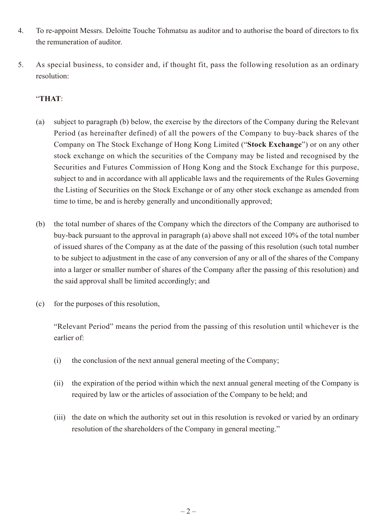- 4. To re-appoint Messrs. Deloitte Touche Tohmatsu as auditor and to authorise the board of directors to fix the remuneration of auditor.
- 5. As special business, to consider and, if thought fit, pass the following resolution as an ordinary resolution:

## "**THAT**:

- (a) subject to paragraph (b) below, the exercise by the directors of the Company during the Relevant Period (as hereinafter defined) of all the powers of the Company to buy-back shares of the Company on The Stock Exchange of Hong Kong Limited ("**Stock Exchange**") or on any other stock exchange on which the securities of the Company may be listed and recognised by the Securities and Futures Commission of Hong Kong and the Stock Exchange for this purpose, subject to and in accordance with all applicable laws and the requirements of the Rules Governing the Listing of Securities on the Stock Exchange or of any other stock exchange as amended from time to time, be and is hereby generally and unconditionally approved;
- (b) the total number of shares of the Company which the directors of the Company are authorised to buy-back pursuant to the approval in paragraph (a) above shall not exceed 10% of the total number of issued shares of the Company as at the date of the passing of this resolution (such total number to be subject to adjustment in the case of any conversion of any or all of the shares of the Company into a larger or smaller number of shares of the Company after the passing of this resolution) and the said approval shall be limited accordingly; and
- (c) for the purposes of this resolution,

"Relevant Period" means the period from the passing of this resolution until whichever is the earlier of:

- (i) the conclusion of the next annual general meeting of the Company;
- (ii) the expiration of the period within which the next annual general meeting of the Company is required by law or the articles of association of the Company to be held; and
- (iii) the date on which the authority set out in this resolution is revoked or varied by an ordinary resolution of the shareholders of the Company in general meeting."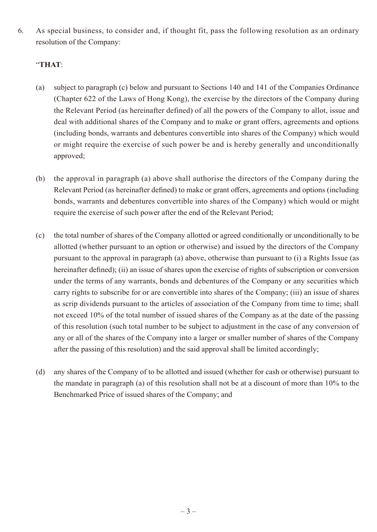6. As special business, to consider and, if thought fit, pass the following resolution as an ordinary resolution of the Company:

### "**THAT**:

- (a) subject to paragraph (c) below and pursuant to Sections 140 and 141 of the Companies Ordinance (Chapter 622 of the Laws of Hong Kong), the exercise by the directors of the Company during the Relevant Period (as hereinafter defined) of all the powers of the Company to allot, issue and deal with additional shares of the Company and to make or grant offers, agreements and options (including bonds, warrants and debentures convertible into shares of the Company) which would or might require the exercise of such power be and is hereby generally and unconditionally approved;
- (b) the approval in paragraph (a) above shall authorise the directors of the Company during the Relevant Period (as hereinafter defined) to make or grant offers, agreements and options (including bonds, warrants and debentures convertible into shares of the Company) which would or might require the exercise of such power after the end of the Relevant Period;
- (c) the total number of shares of the Company allotted or agreed conditionally or unconditionally to be allotted (whether pursuant to an option or otherwise) and issued by the directors of the Company pursuant to the approval in paragraph (a) above, otherwise than pursuant to (i) a Rights Issue (as hereinafter defined); (ii) an issue of shares upon the exercise of rights of subscription or conversion under the terms of any warrants, bonds and debentures of the Company or any securities which carry rights to subscribe for or are convertible into shares of the Company; (iii) an issue of shares as scrip dividends pursuant to the articles of association of the Company from time to time; shall not exceed 10% of the total number of issued shares of the Company as at the date of the passing of this resolution (such total number to be subject to adjustment in the case of any conversion of any or all of the shares of the Company into a larger or smaller number of shares of the Company after the passing of this resolution) and the said approval shall be limited accordingly;
- (d) any shares of the Company of to be allotted and issued (whether for cash or otherwise) pursuant to the mandate in paragraph (a) of this resolution shall not be at a discount of more than 10% to the Benchmarked Price of issued shares of the Company; and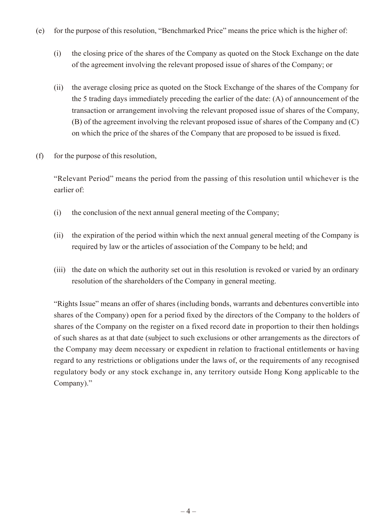- (e) for the purpose of this resolution, "Benchmarked Price" means the price which is the higher of:
	- (i) the closing price of the shares of the Company as quoted on the Stock Exchange on the date of the agreement involving the relevant proposed issue of shares of the Company; or
	- (ii) the average closing price as quoted on the Stock Exchange of the shares of the Company for the 5 trading days immediately preceding the earlier of the date: (A) of announcement of the transaction or arrangement involving the relevant proposed issue of shares of the Company, (B) of the agreement involving the relevant proposed issue of shares of the Company and (C) on which the price of the shares of the Company that are proposed to be issued is fixed.
- (f) for the purpose of this resolution,

"Relevant Period" means the period from the passing of this resolution until whichever is the earlier of:

- (i) the conclusion of the next annual general meeting of the Company;
- (ii) the expiration of the period within which the next annual general meeting of the Company is required by law or the articles of association of the Company to be held; and
- (iii) the date on which the authority set out in this resolution is revoked or varied by an ordinary resolution of the shareholders of the Company in general meeting.

"Rights Issue" means an offer of shares (including bonds, warrants and debentures convertible into shares of the Company) open for a period fixed by the directors of the Company to the holders of shares of the Company on the register on a fixed record date in proportion to their then holdings of such shares as at that date (subject to such exclusions or other arrangements as the directors of the Company may deem necessary or expedient in relation to fractional entitlements or having regard to any restrictions or obligations under the laws of, or the requirements of any recognised regulatory body or any stock exchange in, any territory outside Hong Kong applicable to the Company)."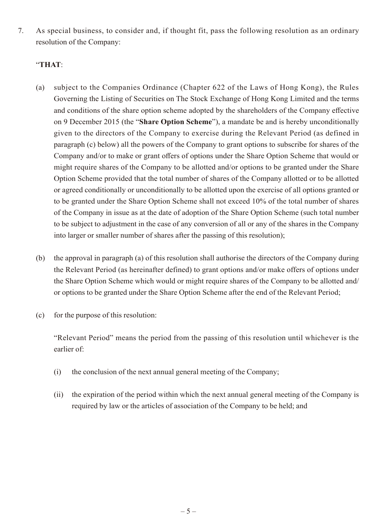7. As special business, to consider and, if thought fit, pass the following resolution as an ordinary resolution of the Company:

#### "**THAT**:

- (a) subject to the Companies Ordinance (Chapter 622 of the Laws of Hong Kong), the Rules Governing the Listing of Securities on The Stock Exchange of Hong Kong Limited and the terms and conditions of the share option scheme adopted by the shareholders of the Company effective on 9 December 2015 (the "**Share Option Scheme**"), a mandate be and is hereby unconditionally given to the directors of the Company to exercise during the Relevant Period (as defined in paragraph (c) below) all the powers of the Company to grant options to subscribe for shares of the Company and/or to make or grant offers of options under the Share Option Scheme that would or might require shares of the Company to be allotted and/or options to be granted under the Share Option Scheme provided that the total number of shares of the Company allotted or to be allotted or agreed conditionally or unconditionally to be allotted upon the exercise of all options granted or to be granted under the Share Option Scheme shall not exceed 10% of the total number of shares of the Company in issue as at the date of adoption of the Share Option Scheme (such total number to be subject to adjustment in the case of any conversion of all or any of the shares in the Company into larger or smaller number of shares after the passing of this resolution);
- (b) the approval in paragraph (a) of this resolution shall authorise the directors of the Company during the Relevant Period (as hereinafter defined) to grant options and/or make offers of options under the Share Option Scheme which would or might require shares of the Company to be allotted and/ or options to be granted under the Share Option Scheme after the end of the Relevant Period;
- (c) for the purpose of this resolution:

"Relevant Period" means the period from the passing of this resolution until whichever is the earlier of:

- (i) the conclusion of the next annual general meeting of the Company;
- (ii) the expiration of the period within which the next annual general meeting of the Company is required by law or the articles of association of the Company to be held; and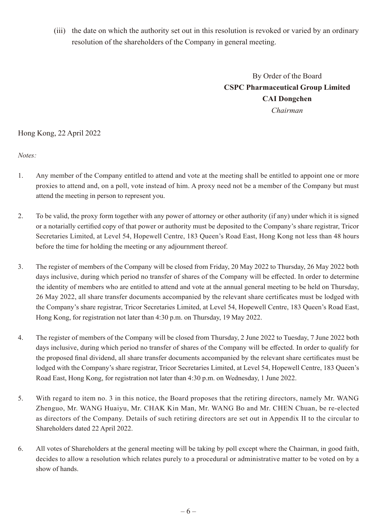(iii) the date on which the authority set out in this resolution is revoked or varied by an ordinary resolution of the shareholders of the Company in general meeting.

> By Order of the Board **CSPC Pharmaceutical Group Limited CAI Dongchen** *Chairman*

#### Hong Kong, 22 April 2022

*Notes:*

- 1. Any member of the Company entitled to attend and vote at the meeting shall be entitled to appoint one or more proxies to attend and, on a poll, vote instead of him. A proxy need not be a member of the Company but must attend the meeting in person to represent you.
- 2. To be valid, the proxy form together with any power of attorney or other authority (if any) under which it is signed or a notarially certified copy of that power or authority must be deposited to the Company's share registrar, Tricor Secretaries Limited, at Level 54, Hopewell Centre, 183 Queen's Road East, Hong Kong not less than 48 hours before the time for holding the meeting or any adjournment thereof.
- 3. The register of members of the Company will be closed from Friday, 20 May 2022 to Thursday, 26 May 2022 both days inclusive, during which period no transfer of shares of the Company will be effected. In order to determine the identity of members who are entitled to attend and vote at the annual general meeting to be held on Thursday, 26 May 2022, all share transfer documents accompanied by the relevant share certificates must be lodged with the Company's share registrar, Tricor Secretaries Limited, at Level 54, Hopewell Centre, 183 Queen's Road East, Hong Kong, for registration not later than 4:30 p.m. on Thursday, 19 May 2022.
- 4. The register of members of the Company will be closed from Thursday, 2 June 2022 to Tuesday, 7 June 2022 both days inclusive, during which period no transfer of shares of the Company will be effected. In order to qualify for the proposed final dividend, all share transfer documents accompanied by the relevant share certificates must be lodged with the Company's share registrar, Tricor Secretaries Limited, at Level 54, Hopewell Centre, 183 Queen's Road East, Hong Kong, for registration not later than 4:30 p.m. on Wednesday, 1 June 2022.
- 5. With regard to item no. 3 in this notice, the Board proposes that the retiring directors, namely Mr. WANG Zhenguo, Mr. WANG Huaiyu, Mr. CHAK Kin Man, Mr. WANG Bo and Mr. CHEN Chuan, be re-elected as directors of the Company. Details of such retiring directors are set out in Appendix II to the circular to Shareholders dated 22 April 2022.
- 6. All votes of Shareholders at the general meeting will be taking by poll except where the Chairman, in good faith, decides to allow a resolution which relates purely to a procedural or administrative matter to be voted on by a show of hands.